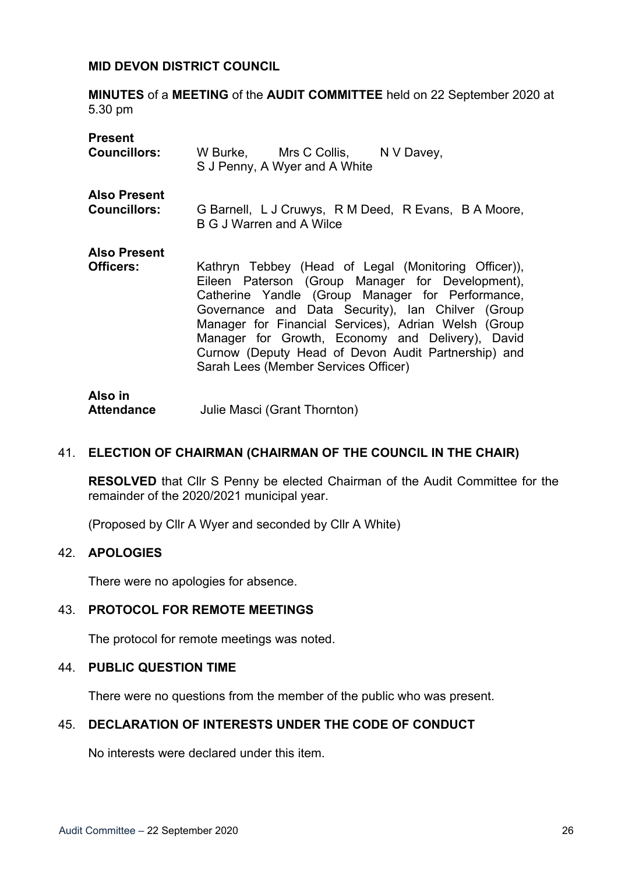#### **MID DEVON DISTRICT COUNCIL**

**MINUTES** of a **MEETING** of the **AUDIT COMMITTEE** held on 22 September 2020 at 5.30 pm

| <b>Present</b>                          | W Burke, Mrs C Collis, N V Davey,                                                                                                                                                                                                                                                                                                                                                                                            |
|-----------------------------------------|------------------------------------------------------------------------------------------------------------------------------------------------------------------------------------------------------------------------------------------------------------------------------------------------------------------------------------------------------------------------------------------------------------------------------|
| <b>Councillors:</b>                     | S J Penny, A Wyer and A White                                                                                                                                                                                                                                                                                                                                                                                                |
| <b>Also Present</b>                     | G Barnell, L J Cruwys, R M Deed, R Evans, B A Moore,                                                                                                                                                                                                                                                                                                                                                                         |
| <b>Councillors:</b>                     | <b>B G J Warren and A Wilce</b>                                                                                                                                                                                                                                                                                                                                                                                              |
| <b>Also Present</b><br><b>Officers:</b> | Kathryn Tebbey (Head of Legal (Monitoring Officer)),<br>Eileen Paterson (Group Manager for Development),<br>Catherine Yandle (Group Manager for Performance,<br>Governance and Data Security), Ian Chilver (Group<br>Manager for Financial Services), Adrian Welsh (Group<br>Manager for Growth, Economy and Delivery), David<br>Curnow (Deputy Head of Devon Audit Partnership) and<br>Sarah Lees (Member Services Officer) |
| Also in                                 |                                                                                                                                                                                                                                                                                                                                                                                                                              |

**Attendance** Julie Masci (Grant Thornton)

#### 41. **ELECTION OF CHAIRMAN (CHAIRMAN OF THE COUNCIL IN THE CHAIR)**

**RESOLVED** that Cllr S Penny be elected Chairman of the Audit Committee for the remainder of the 2020/2021 municipal year.

(Proposed by Cllr A Wyer and seconded by Cllr A White)

### 42. **APOLOGIES**

There were no apologies for absence.

#### 43. **PROTOCOL FOR REMOTE MEETINGS**

The protocol for remote meetings was noted.

#### 44. **PUBLIC QUESTION TIME**

There were no questions from the member of the public who was present.

#### 45. **DECLARATION OF INTERESTS UNDER THE CODE OF CONDUCT**

No interests were declared under this item.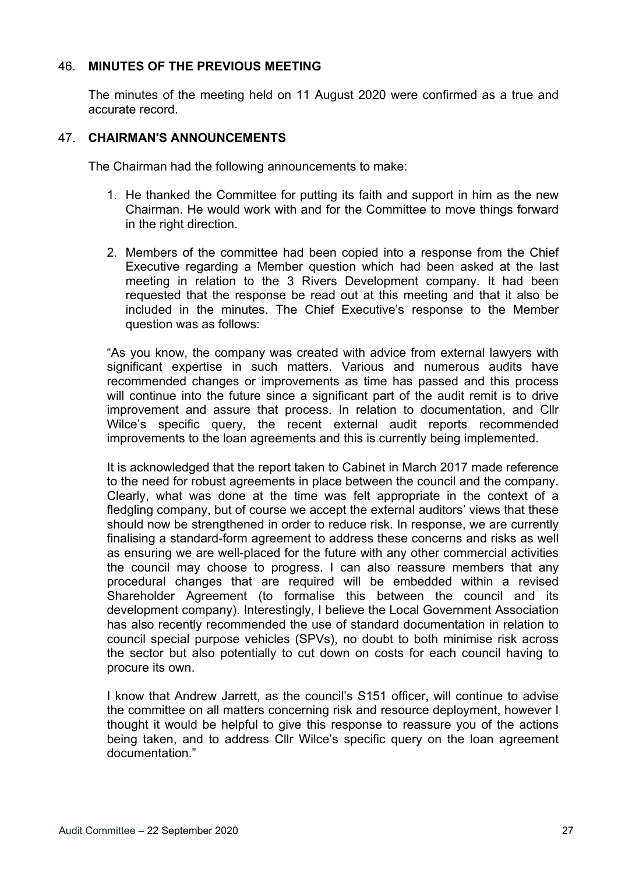### 46. **MINUTES OF THE PREVIOUS MEETING**

The minutes of the meeting held on 11 August 2020 were confirmed as a true and accurate record.

#### 47. **CHAIRMAN'S ANNOUNCEMENTS**

The Chairman had the following announcements to make:

- 1. He thanked the Committee for putting its faith and support in him as the new Chairman. He would work with and for the Committee to move things forward in the right direction.
- 2. Members of the committee had been copied into a response from the Chief Executive regarding a Member question which had been asked at the last meeting in relation to the 3 Rivers Development company. It had been requested that the response be read out at this meeting and that it also be included in the minutes. The Chief Executive's response to the Member question was as follows:

"As you know, the company was created with advice from external lawyers with significant expertise in such matters. Various and numerous audits have recommended changes or improvements as time has passed and this process will continue into the future since a significant part of the audit remit is to drive improvement and assure that process. In relation to documentation, and Cllr Wilce's specific query, the recent external audit reports recommended improvements to the loan agreements and this is currently being implemented.

It is acknowledged that the report taken to Cabinet in March 2017 made reference to the need for robust agreements in place between the council and the company. Clearly, what was done at the time was felt appropriate in the context of a fledgling company, but of course we accept the external auditors' views that these should now be strengthened in order to reduce risk. In response, we are currently finalising a standard-form agreement to address these concerns and risks as well as ensuring we are well-placed for the future with any other commercial activities the council may choose to progress. I can also reassure members that any procedural changes that are required will be embedded within a revised Shareholder Agreement (to formalise this between the council and its development company). Interestingly, I believe the Local Government Association has also recently recommended the use of standard documentation in relation to council special purpose vehicles (SPVs), no doubt to both minimise risk across the sector but also potentially to cut down on costs for each council having to procure its own.

I know that Andrew Jarrett, as the council's S151 officer, will continue to advise the committee on all matters concerning risk and resource deployment, however I thought it would be helpful to give this response to reassure you of the actions being taken, and to address Cllr Wilce's specific query on the loan agreement documentation."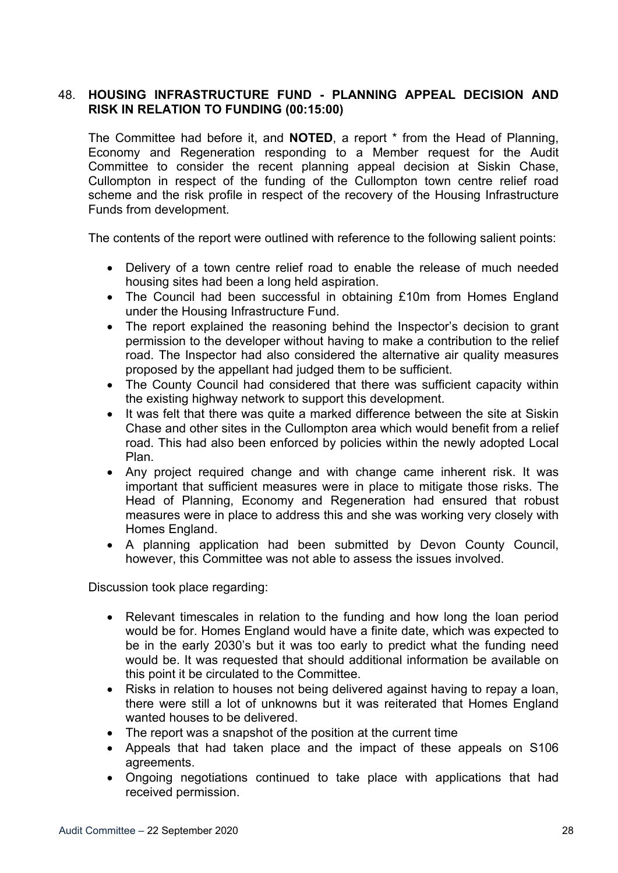## 48. **HOUSING INFRASTRUCTURE FUND - PLANNING APPEAL DECISION AND RISK IN RELATION TO FUNDING (00:15:00)**

The Committee had before it, and **NOTED**, a report \* from the Head of Planning, Economy and Regeneration responding to a Member request for the Audit Committee to consider the recent planning appeal decision at Siskin Chase, Cullompton in respect of the funding of the Cullompton town centre relief road scheme and the risk profile in respect of the recovery of the Housing Infrastructure Funds from development.

The contents of the report were outlined with reference to the following salient points:

- Delivery of a town centre relief road to enable the release of much needed housing sites had been a long held aspiration.
- The Council had been successful in obtaining £10m from Homes England under the Housing Infrastructure Fund.
- The report explained the reasoning behind the Inspector's decision to grant permission to the developer without having to make a contribution to the relief road. The Inspector had also considered the alternative air quality measures proposed by the appellant had judged them to be sufficient.
- The County Council had considered that there was sufficient capacity within the existing highway network to support this development.
- It was felt that there was quite a marked difference between the site at Siskin Chase and other sites in the Cullompton area which would benefit from a relief road. This had also been enforced by policies within the newly adopted Local Plan.
- Any project required change and with change came inherent risk. It was important that sufficient measures were in place to mitigate those risks. The Head of Planning, Economy and Regeneration had ensured that robust measures were in place to address this and she was working very closely with Homes England.
- A planning application had been submitted by Devon County Council, however, this Committee was not able to assess the issues involved.

Discussion took place regarding:

- Relevant timescales in relation to the funding and how long the loan period would be for. Homes England would have a finite date, which was expected to be in the early 2030's but it was too early to predict what the funding need would be. It was requested that should additional information be available on this point it be circulated to the Committee.
- Risks in relation to houses not being delivered against having to repay a loan, there were still a lot of unknowns but it was reiterated that Homes England wanted houses to be delivered.
- The report was a snapshot of the position at the current time
- Appeals that had taken place and the impact of these appeals on S106 agreements.
- Ongoing negotiations continued to take place with applications that had received permission.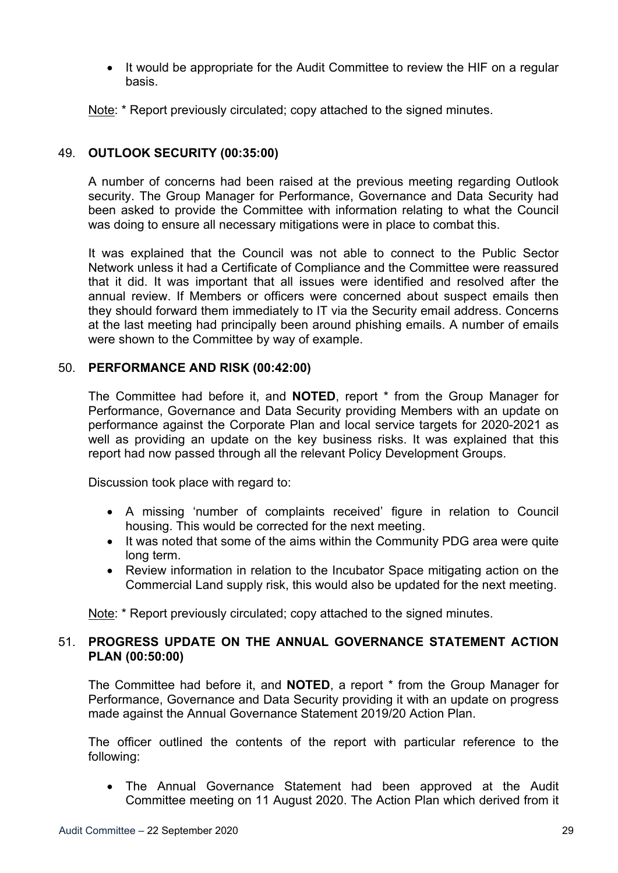• It would be appropriate for the Audit Committee to review the HIF on a regular basis.

Note: \* Report previously circulated; copy attached to the signed minutes.

# 49. **OUTLOOK SECURITY (00:35:00)**

A number of concerns had been raised at the previous meeting regarding Outlook security. The Group Manager for Performance, Governance and Data Security had been asked to provide the Committee with information relating to what the Council was doing to ensure all necessary mitigations were in place to combat this.

It was explained that the Council was not able to connect to the Public Sector Network unless it had a Certificate of Compliance and the Committee were reassured that it did. It was important that all issues were identified and resolved after the annual review. If Members or officers were concerned about suspect emails then they should forward them immediately to IT via the Security email address. Concerns at the last meeting had principally been around phishing emails. A number of emails were shown to the Committee by way of example.

## 50. **PERFORMANCE AND RISK (00:42:00)**

The Committee had before it, and **NOTED**, report \* from the Group Manager for Performance, Governance and Data Security providing Members with an update on performance against the Corporate Plan and local service targets for 2020-2021 as well as providing an update on the key business risks. It was explained that this report had now passed through all the relevant Policy Development Groups.

Discussion took place with regard to:

- A missing 'number of complaints received' figure in relation to Council housing. This would be corrected for the next meeting.
- It was noted that some of the aims within the Community PDG area were quite long term.
- Review information in relation to the Incubator Space mitigating action on the Commercial Land supply risk, this would also be updated for the next meeting.

Note: \* Report previously circulated; copy attached to the signed minutes.

## 51. **PROGRESS UPDATE ON THE ANNUAL GOVERNANCE STATEMENT ACTION PLAN (00:50:00)**

The Committee had before it, and **NOTED**, a report \* from the Group Manager for Performance, Governance and Data Security providing it with an update on progress made against the Annual Governance Statement 2019/20 Action Plan.

The officer outlined the contents of the report with particular reference to the following:

 The Annual Governance Statement had been approved at the Audit Committee meeting on 11 August 2020. The Action Plan which derived from it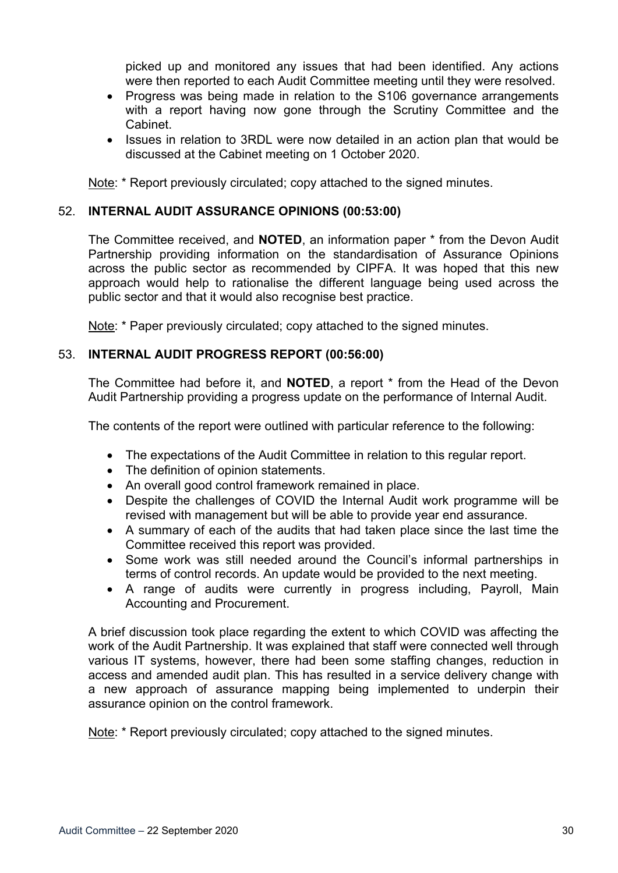picked up and monitored any issues that had been identified. Any actions were then reported to each Audit Committee meeting until they were resolved.

- Progress was being made in relation to the S106 governance arrangements with a report having now gone through the Scrutiny Committee and the Cabinet.
- Issues in relation to 3RDL were now detailed in an action plan that would be discussed at the Cabinet meeting on 1 October 2020.

Note: \* Report previously circulated; copy attached to the signed minutes.

# 52. **INTERNAL AUDIT ASSURANCE OPINIONS (00:53:00)**

The Committee received, and **NOTED**, an information paper \* from the Devon Audit Partnership providing information on the standardisation of Assurance Opinions across the public sector as recommended by CIPFA. It was hoped that this new approach would help to rationalise the different language being used across the public sector and that it would also recognise best practice.

Note: \* Paper previously circulated; copy attached to the signed minutes.

## 53. **INTERNAL AUDIT PROGRESS REPORT (00:56:00)**

The Committee had before it, and **NOTED**, a report \* from the Head of the Devon Audit Partnership providing a progress update on the performance of Internal Audit.

The contents of the report were outlined with particular reference to the following:

- The expectations of the Audit Committee in relation to this regular report.
- The definition of opinion statements.
- An overall good control framework remained in place.
- Despite the challenges of COVID the Internal Audit work programme will be revised with management but will be able to provide year end assurance.
- A summary of each of the audits that had taken place since the last time the Committee received this report was provided.
- Some work was still needed around the Council's informal partnerships in terms of control records. An update would be provided to the next meeting.
- A range of audits were currently in progress including, Payroll, Main Accounting and Procurement.

A brief discussion took place regarding the extent to which COVID was affecting the work of the Audit Partnership. It was explained that staff were connected well through various IT systems, however, there had been some staffing changes, reduction in access and amended audit plan. This has resulted in a service delivery change with a new approach of assurance mapping being implemented to underpin their assurance opinion on the control framework.

Note: \* Report previously circulated: copy attached to the signed minutes.